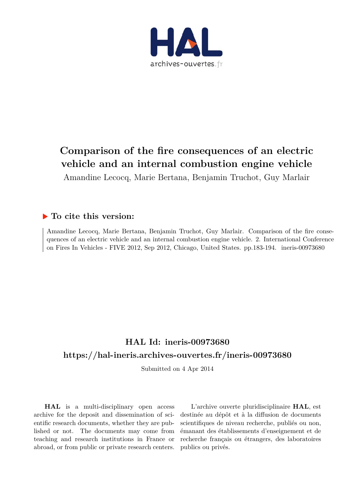

# **Comparison of the fire consequences of an electric vehicle and an internal combustion engine vehicle**

Amandine Lecocq, Marie Bertana, Benjamin Truchot, Guy Marlair

# **To cite this version:**

Amandine Lecocq, Marie Bertana, Benjamin Truchot, Guy Marlair. Comparison of the fire consequences of an electric vehicle and an internal combustion engine vehicle. 2. International Conference on Fires In Vehicles - FIVE 2012, Sep 2012, Chicago, United States. pp.183-194. ineris-00973680

# **HAL Id: ineris-00973680 <https://hal-ineris.archives-ouvertes.fr/ineris-00973680>**

Submitted on 4 Apr 2014

**HAL** is a multi-disciplinary open access archive for the deposit and dissemination of scientific research documents, whether they are published or not. The documents may come from teaching and research institutions in France or abroad, or from public or private research centers.

L'archive ouverte pluridisciplinaire **HAL**, est destinée au dépôt et à la diffusion de documents scientifiques de niveau recherche, publiés ou non, émanant des établissements d'enseignement et de recherche français ou étrangers, des laboratoires publics ou privés.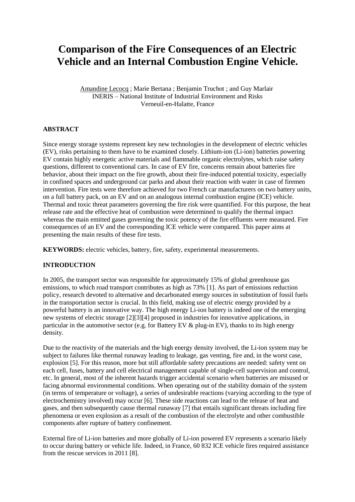# **Comparison of the Fire Consequences of an Electric Vehicle and an Internal Combustion Engine Vehicle.**

Amandine Lecocq ; Marie Bertana ; Benjamin Truchot ; and Guy Marlair INERIS – National Institute of Industrial Environment and Risks Verneuil-en-Halatte, France

# **ABSTRACT**

Since energy storage systems represent key new technologies in the development of electric vehicles (EV), risks pertaining to them have to be examined closely. Lithium-ion (Li-ion) batteries powering EV contain highly energetic active materials and flammable organic electrolytes, which raise safety questions, different to conventional cars. In case of EV fire, concerns remain about batteries fire behavior, about their impact on the fire growth, about their fire-induced potential toxicity, especially in confined spaces and underground car parks and about their reaction with water in case of firemen intervention. Fire tests were therefore achieved for two French car manufacturers on two battery units, on a full battery pack, on an EV and on an analogous internal combustion engine (ICE) vehicle. Thermal and toxic threat parameters governing the fire risk were quantified. For this purpose, the heat release rate and the effective heat of combustion were determined to qualify the thermal impact whereas the main emitted gases governing the toxic potency of the fire effluents were measured. Fire consequences of an EV and the corresponding ICE vehicle were compared. This paper aims at presenting the main results of these fire tests.

**KEYWORDS:** electric vehicles, battery, fire, safety, experimental measurements.

#### **INTRODUCTION**

In 2005, the transport sector was responsible for approximately 15% of global greenhouse gas emissions, to which road transport contributes as high as 73% [1]. As part of emissions reduction policy, research devoted to alternative and decarbonated energy sources in substitution of fossil fuels in the transportation sector is crucial. In this field, making use of electric energy provided by a powerful battery is an innovative way. The high energy Li-ion battery is indeed one of the emerging new systems of electric storage [2][3][4] proposed in industries for innovative applications, in particular in the automotive sector (e.g. for Battery EV & plug-in EV), thanks to its high energy density.

Due to the reactivity of the materials and the high energy density involved, the Li-ion system may be subject to failures like thermal runaway leading to leakage, gas venting, fire and, in the worst case, explosion [5]. For this reason, more but still affordable safety precautions are needed: safety vent on each cell, fuses, battery and cell electrical management capable of single-cell supervision and control, etc. In general, most of the inherent hazards trigger accidental scenario when batteries are misused or facing abnormal environmental conditions. When operating out of the stability domain of the system (in terms of temperature or voltage), a series of undesirable reactions (varying according to the type of electrochemistry involved) may occur [6]. These side reactions can lead to the release of heat and gases, and then subsequently cause thermal runaway [7] that entails significant threats including fire phenomena or even explosion as a result of the combustion of the electrolyte and other combustible components after rupture of battery confinement.

External fire of Li-ion batteries and more globally of Li-ion powered EV represents a scenario likely to occur during battery or vehicle life. Indeed, in France, 60 832 ICE vehicle fires required assistance from the rescue services in 2011 [8].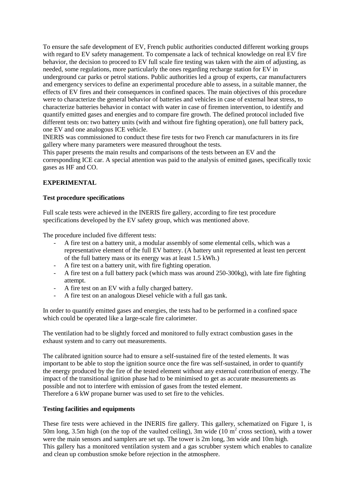To ensure the safe development of EV, French public authorities conducted different working groups with regard to EV safety management. To compensate a lack of technical knowledge on real EV fire behavior, the decision to proceed to EV full scale fire testing was taken with the aim of adjusting, as needed, some regulations, more particularly the ones regarding recharge station for EV in underground car parks or petrol stations. Public authorities led a group of experts, car manufacturers and emergency services to define an experimental procedure able to assess, in a suitable manner, the effects of EV fires and their consequences in confined spaces. The main objectives of this procedure were to characterize the general behavior of batteries and vehicles in case of external heat stress, to characterize batteries behavior in contact with water in case of firemen intervention, to identify and quantify emitted gases and energies and to compare fire growth. The defined protocol included five different tests on: two battery units (with and without fire fighting operation), one full battery pack, one EV and one analogous ICE vehicle.

INERIS was commissioned to conduct these fire tests for two French car manufacturers in its fire gallery where many parameters were measured throughout the tests.

This paper presents the main results and comparisons of the tests between an EV and the corresponding ICE car. A special attention was paid to the analysis of emitted gases, specifically toxic gases as HF and CO.

### **EXPERIMENTAL**

#### **Test procedure specifications**

Full scale tests were achieved in the INERIS fire gallery, according to fire test procedure specifications developed by the EV safety group, which was mentioned above.

The procedure included five different tests:

- A fire test on a battery unit, a modular assembly of some elemental cells, which was a representative element of the full EV battery. (A battery unit represented at least ten percent of the full battery mass or its energy was at least 1.5 kWh.)
- A fire test on a battery unit, with fire fighting operation.
- A fire test on a full battery pack (which mass was around 250-300kg), with late fire fighting attempt.
- A fire test on an EV with a fully charged battery.
- A fire test on an analogous Diesel vehicle with a full gas tank.

In order to quantify emitted gases and energies, the tests had to be performed in a confined space which could be operated like a large-scale fire calorimeter.

The ventilation had to be slightly forced and monitored to fully extract combustion gases in the exhaust system and to carry out measurements.

The calibrated ignition source had to ensure a self-sustained fire of the tested elements. It was important to be able to stop the ignition source once the fire was self-sustained, in order to quantify the energy produced by the fire of the tested element without any external contribution of energy. The impact of the transitional ignition phase had to be minimised to get as accurate measurements as possible and not to interfere with emission of gases from the tested element. Therefore a 6 kW propane burner was used to set fire to the vehicles.

#### **Testing facilities and equipments**

These fire tests were achieved in the INERIS fire gallery. This gallery, schematized on [Figure 1,](#page-3-0) is 50m long, 3.5m high (on the top of the vaulted ceiling), 3m wide  $(10 \text{ m}^2 \text{ cross section})$ , with a tower were the main sensors and samplers are set up. The tower is 2m long, 3m wide and 10m high. This gallery has a monitored ventilation system and a gas scrubber system which enables to canalize and clean up combustion smoke before rejection in the atmosphere.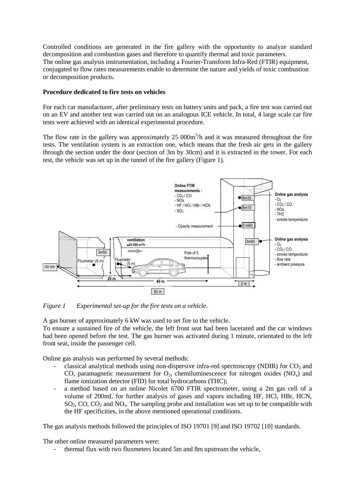Controlled conditions are generated in the fire gallery with the opportunity to analyze standard decomposition and combustion gases and therefore to quantify thermal and toxic parameters. The online gas analysis instrumentation, including a Fourier-Transform Infra-Red (FTIR) equipment, conjugated to flow rates measurements enable to determine the nature and yields of toxic combustion or decomposition products.

#### **Procedure dedicated to fire tests on vehicles**

For each car manufacturer, after preliminary tests on battery units and pack, a fire test was carried out on an EV and another test was carried out on an analogous ICE vehicle. In total, 4 large scale car fire tests were achieved with an identical experimental procedure.

The flow rate in the gallery was approximately  $25\ 000\,\text{m}^3/\text{h}$  and it was measured throughout the fire tests. The ventilation system is an extraction one, which means that the fresh air gets in the gallery through the section under the door (section of 3m by 30cm) and it is extracted in the tower. For each test, the vehicle was set up in the tunnel of the fire gallery [\(Figure 1\)](#page-3-0).



<span id="page-3-0"></span>*Figure 1 Experimental set-up for the fire tests on a vehicle.* 

A gas burner of approximately 6 kW was used to set fire to the vehicle.

To ensure a sustained fire of the vehicle, the left front seat had been lacerated and the car windows had been opened before the test. The gas burner was activated during 1 minute, orientated to the left front seat, inside the passenger cell.

Online gas analysis was performed by several methods:

- classical analytical methods using non-dispersive infra-red spectroscopy (NDIR) for  $CO<sub>2</sub>$  and CO, paramagnetic measurement for  $O_2$ , chemiluminescence for nitrogen oxides  $(NO_x)$  and flame ionization detector (FID) for total hydrocarbons (THC);
- a method based on an online Nicolet 6700 FTIR spectrometer, using a 2m gas cell of a volume of 200mL for further analysis of gases and vapors including HF, HCl, HBr, HCN, SO<sub>2</sub>, CO, CO<sub>2</sub> and NO<sub>x</sub>. The sampling probe and installation was set up to be compatible with the HF specificities, in the above mentioned operational conditions.

The gas analysis methods followed the principles of ISO 19701 [9] and ISO 19702 [10] standards.

The other online measured parameters were:

thermal flux with two fluxmeters located 5m and 8m upstream the vehicle,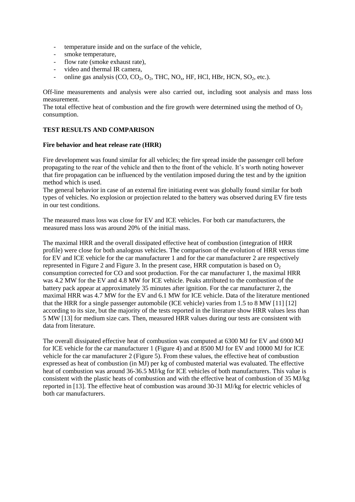- temperature inside and on the surface of the vehicle,
- smoke temperature,
- flow rate (smoke exhaust rate),
- video and thermal IR camera,
- online gas analysis (CO, CO<sub>2</sub>, O<sub>2</sub>, THC, NO<sub>x</sub>, HF, HCl, HBr, HCN, SO<sub>2</sub>, etc.).

Off-line measurements and analysis were also carried out, including soot analysis and mass loss measurement.

The total effective heat of combustion and the fire growth were determined using the method of  $O<sub>2</sub>$ consumption.

# **TEST RESULTS AND COMPARISON**

#### **Fire behavior and heat release rate (HRR)**

Fire development was found similar for all vehicles; the fire spread inside the passenger cell before propagating to the rear of the vehicle and then to the front of the vehicle. It's worth noting however that fire propagation can be influenced by the ventilation imposed during the test and by the ignition method which is used.

The general behavior in case of an external fire initiating event was globally found similar for both types of vehicles. No explosion or projection related to the battery was observed during EV fire tests in our test conditions.

The measured mass loss was close for EV and ICE vehicles. For both car manufacturers, the measured mass loss was around 20% of the initial mass.

The maximal HRR and the overall dissipated effective heat of combustion (integration of HRR profile) were close for both analogous vehicles. The comparison of the evolution of HRR versus time for EV and ICE vehicle for the car manufacturer 1 and for the car manufacturer 2 are respectively represented i[n Figure 2](#page-5-0) and [Figure 3.](#page-5-1) In the present case, HRR computation is based on  $O<sub>2</sub>$ consumption corrected for CO and soot production. For the car manufacturer 1, the maximal HRR was 4.2 MW for the EV and 4.8 MW for ICE vehicle. Peaks attributed to the combustion of the battery pack appear at approximately 35 minutes after ignition. For the car manufacturer 2, the maximal HRR was 4.7 MW for the EV and 6.1 MW for ICE vehicle. Data of the literature mentioned that the HRR for a single passenger automobile (ICE vehicle) varies from 1.5 to 8 MW [11] [12] according to its size, but the majority of the tests reported in the literature show HRR values less than 5 MW [13] for medium size cars. Then, measured HRR values during our tests are consistent with data from literature.

The overall dissipated effective heat of combustion was computed at 6300 MJ for EV and 6900 MJ for ICE vehicle for the car manufacturer 1 [\(Figure 4\)](#page-6-0) and at 8500 MJ for EV and 10000 MJ for ICE vehicle for the car manufacturer 2 [\(Figure 5\)](#page-6-1). From these values, the effective heat of combustion expressed as heat of combustion (in MJ) per kg of combusted material was evaluated. The effective heat of combustion was around 36-36.5 MJ/kg for ICE vehicles of both manufacturers. This value is consistent with the plastic heats of combustion and with the effective heat of combustion of 35 MJ/kg reported in [13]. The effective heat of combustion was around 30-31 MJ/kg for electric vehicles of both car manufacturers.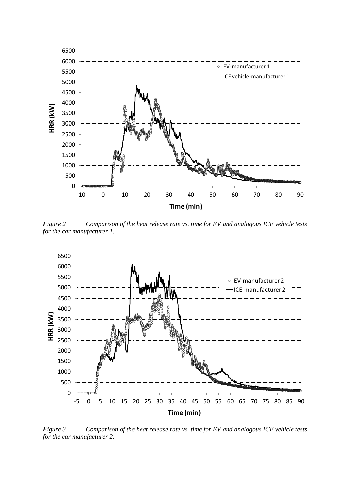

<span id="page-5-0"></span>*Figure 2 Comparison of the heat release rate vs. time for EV and analogous ICE vehicle tests for the car manufacturer 1.* 



<span id="page-5-1"></span>*Figure 3 Comparison of the heat release rate vs. time for EV and analogous ICE vehicle tests for the car manufacturer 2.*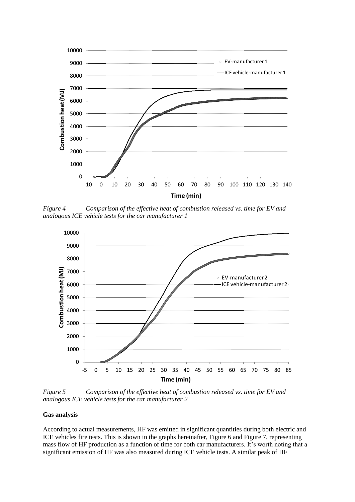

<span id="page-6-0"></span>*Figure 4 Comparison of the effective heat of combustion released vs. time for EV and analogous ICE vehicle tests for the car manufacturer 1* 



<span id="page-6-1"></span>*Figure 5 Comparison of the effective heat of combustion released vs. time for EV and analogous ICE vehicle tests for the car manufacturer 2* 

#### **Gas analysis**

According to actual measurements, HF was emitted in significant quantities during both electric and ICE vehicles fire tests. This is shown in the graphs hereinafter, [Figure 6](#page-7-0) and [Figure 7,](#page-8-0) representing mass flow of HF production as a function of time for both car manufacturers. It's worth noting that a significant emission of HF was also measured during ICE vehicle tests. A similar peak of HF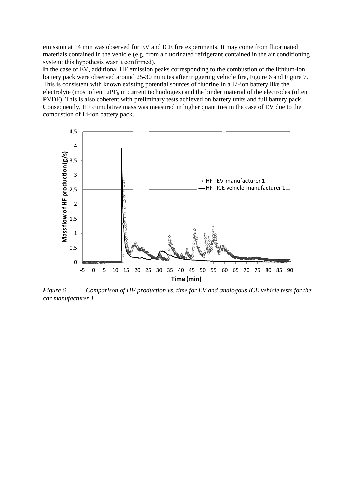emission at 14 min was observed for EV and ICE fire experiments. It may come from fluorinated materials contained in the vehicle (e.g. from a fluorinated refrigerant contained in the air conditioning system; this hypothesis wasn't confirmed).

In the case of EV, additional HF emission peaks corresponding to the combustion of the lithium-ion battery pack were observed around 25-30 minutes after triggering vehicle fire, [Figure 6](#page-7-0) and [Figure 7.](#page-8-0) This is consistent with known existing potential sources of fluorine in a Li-ion battery like the electrolyte (most often LiPF $_6$  in current technologies) and the binder material of the electrodes (often PVDF). This is also coherent with preliminary tests achieved on battery units and full battery pack. Consequently, HF cumulative mass was measured in higher quantities in the case of EV due to the combustion of Li-ion battery pack.



<span id="page-7-0"></span>*Figure 6 Comparison of HF production vs. time for EV and analogous ICE vehicle tests for the car manufacturer 1*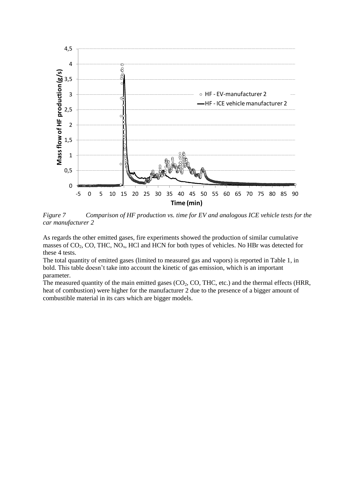

<span id="page-8-0"></span>*Figure 7 Comparison of HF production vs. time for EV and analogous ICE vehicle tests for the car manufacturer 2* 

As regards the other emitted gases, fire experiments showed the production of similar cumulative masses of  $CO_2$ , CO, THC, NO<sub>x</sub>, HCl and HCN for both types of vehicles. No HBr was detected for these 4 tests.

The total quantity of emitted gases (limited to measured gas and vapors) is reported i[n Table 1,](#page-9-0) in bold. This table doesn't take into account the kinetic of gas emission, which is an important parameter.

The measured quantity of the main emitted gases  $(CO_2, CO, THC, etc.)$  and the thermal effects (HRR, heat of combustion) were higher for the manufacturer 2 due to the presence of a bigger amount of combustible material in its cars which are bigger models.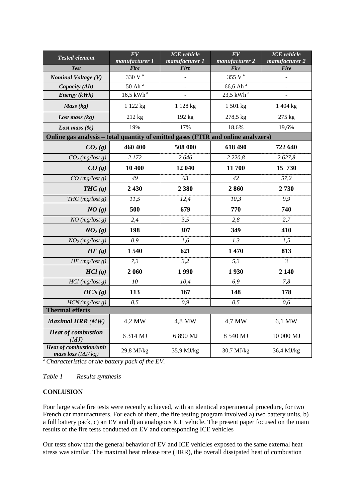| <b>Tested element</b>                                                             | EV                            | <b>ICE</b> vehicle            | EV                               | <b>ICE</b> vehicle |
|-----------------------------------------------------------------------------------|-------------------------------|-------------------------------|----------------------------------|--------------------|
|                                                                                   | manufacturer 1<br><b>Fire</b> | manufacturer 1<br><b>Fire</b> | manufacturer 2                   | manufacturer 2     |
| <b>Test</b>                                                                       | $330$ V $^{\rm a}$            |                               | <b>Fire</b>                      | <b>Fire</b>        |
| <b>Nominal Voltage (V)</b>                                                        |                               |                               | $355~\mathrm{V}$ $^{\mathrm{a}}$ |                    |
| Capacity (Ah)                                                                     | $50$ Ah <sup>a</sup>          |                               | 66,6 Ah <sup>a</sup>             |                    |
| Energy (kWh)                                                                      | $16,5$ kWh <sup>a</sup>       |                               | $23,5$ kWh <sup>a</sup>          |                    |
| Mass $(kg)$                                                                       | 1 122 kg                      | 1 128 kg                      | 1 501 kg                         | 1 404 kg           |
| Lost mass $(kg)$                                                                  | 212 kg                        | 192 kg                        | 278,5 kg                         | 275 kg             |
| Lost mass $(\%)$                                                                  | 19%                           | 17%                           | 18,6%                            | 19,6%              |
| Online gas analysis - total quantity of emitted gases (FTIR and online analyzers) |                               |                               |                                  |                    |
| CO <sub>2</sub> (g)                                                               | 460 400                       | 508 000                       | 618 490                          | 722 640            |
| $CO2$ (mg/lost g)                                                                 | 2 172                         | 2646                          | 2 2 2 0, 8                       | 2 627,8            |
| CO(g)                                                                             | 10 400                        | 12 040                        | 11700                            | 15 730             |
| $CO$ (mg/lost g)                                                                  | 49                            | 63                            | 42                               | 57,2               |
| THC(g)                                                                            | 2 4 3 0                       | 2 3 8 0                       | 2860                             | 2730               |
| $THC$ (mg/lost g)                                                                 | 11,5                          | 12,4                          | 10,3                             | 9,9                |
| NO(g)                                                                             | 500                           | 679                           | 770                              | 740                |
| $NO$ (mg/lost g)                                                                  | 2,4                           | 3,5                           | 2,8                              | 2,7                |
| NO <sub>2</sub> (g)                                                               | 198                           | 307                           | 349                              | 410                |
| $NO2$ (mg/lost g)                                                                 | 0,9                           | 1,6                           | 1,3                              | 1,5                |
| HF(g)                                                                             | 1540                          | 621                           | 1470                             | 813                |
| HF(mg / lost g)                                                                   | 7,3                           | 3,2                           | 5,3                              | 3                  |
| HCl(g)                                                                            | 2 0 6 0                       | 1990                          | 1930                             | 2 140              |
| $\overline{HCl}$ (mg/lost g)                                                      | $10\,$                        | 10,4                          | 6,9                              | 7,8                |
| HCN(g)                                                                            | 113                           | 167                           | 148                              | 178                |
| HCN(mg / lost g)                                                                  | 0,5                           | 0,9                           | 0, 5                             | 0,6                |
| <b>Thermal effects</b>                                                            |                               |                               |                                  |                    |
| <b>Maximal HRR</b> (MW)                                                           | 4,2 MW                        | 4,8 MW                        | 4,7 MW                           | 6,1 MW             |
| <b>Heat of combustion</b><br>(MJ)                                                 | 6 314 MJ                      | 6 890 MJ                      | 8 540 MJ                         | 10 000 MJ          |
| <b>Heat of combustion/unit</b><br>mass loss $(MJ/kg)$                             | 29,8 MJ/kg                    | 35,9 MJ/kg                    | 30,7 MJ/kg                       | 36,4 MJ/kg         |

<sup>a</sup> *Characteristics of the battery pack of the EV.* 

<span id="page-9-0"></span>*Table 1 Results synthesis* 

# **CONLUSION**

Four large scale fire tests were recently achieved, with an identical experimental procedure, for two French car manufacturers. For each of them, the fire testing program involved a) two battery units, b) a full battery pack, c) an EV and d) an analogous ICE vehicle. The present paper focused on the main results of the fire tests conducted on EV and corresponding ICE vehicles

Our tests show that the general behavior of EV and ICE vehicles exposed to the same external heat stress was similar. The maximal heat release rate (HRR), the overall dissipated heat of combustion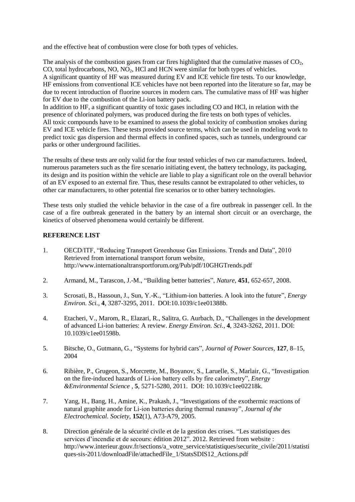and the effective heat of combustion were close for both types of vehicles.

The analysis of the combustion gases from car fires highlighted that the cumulative masses of  $CO<sub>2</sub>$ , CO, total hydrocarbons, NO,  $NO<sub>2</sub>$ , HCl and HCN were similar for both types of vehicles. A significant quantity of HF was measured during EV and ICE vehicle fire tests. To our knowledge, HF emissions from conventional ICE vehicles have not been reported into the literature so far, may be due to recent introduction of fluorine sources in modern cars. The cumulative mass of HF was higher for EV due to the combustion of the Li-ion battery pack.

In addition to HF, a significant quantity of toxic gases including CO and HCl, in relation with the presence of chlorinated polymers, was produced during the fire tests on both types of vehicles. All toxic compounds have to be examined to assess the global toxicity of combustion smokes during EV and ICE vehicle fires. These tests provided source terms, which can be used in modeling work to predict toxic gas dispersion and thermal effects in confined spaces, such as tunnels, underground car parks or other underground facilities.

The results of these tests are only valid for the four tested vehicles of two car manufacturers. Indeed, numerous parameters such as the fire scenario initiating event, the battery technology, its packaging, its design and its position within the vehicle are liable to play a significant role on the overall behavior of an EV exposed to an external fire. Thus, these results cannot be extrapolated to other vehicles, to other car manufacturers, to other potential fire scenarios or to other battery technologies.

These tests only studied the vehicle behavior in the case of a fire outbreak in passenger cell. In the case of a fire outbreak generated in the battery by an internal short circuit or an overcharge, the kinetics of observed phenomena would certainly be different.

# **REFERENCE LIST**

- 1. OECD/ITF, "Reducing Transport Greenhouse Gas Emissions. Trends and Data", 2010 Retrieved from international transport forum website, http://www.internationaltransportforum.org/Pub/pdf/10GHGTrends.pdf
- 2. Armand, M., Tarascon, J.-M., "Building better batteries", *Nature*, **451**, 652-657, 2008.
- 3. Scrosati, B., Hassoun, J., Sun, Y.-K., "Lithium-ion batteries. A look into the future", *Energy Environ. Sci.*, **4**, 3287-3295, 2011. DOI:10.1039/c1ee01388b.
- 4. Etacheri, V., Marom, R., Elazari, R., Salitra, G. Aurbach, D., "Challenges in the development of advanced Li-ion batteries: A review. *Energy Environ. Sci.,* **4***,* 3243-3262, 2011. DOI: 10.1039/c1ee01598b.
- 5. Bitsche, O., Gutmann, G., "Systems for hybrid cars", *Journal of Power Sources,* **127***,* 8–15, 2004
- 6. Ribière, P., Grugeon, S., Morcrette, M., Boyanov, S., Laruelle, S., Marlair, G., "Investigation on the fire-induced hazards of Li-ion battery cells by fire calorimetry", *Energy &Environmental Science* , **5**, 5271-5280, 2011. DOI: 10.1039/c1ee02218k.
- 7. Yang, H., Bang, H., Amine, K., Prakash, J., "Investigations of the exothermic reactions of natural graphite anode for Li-ion batteries during thermal runaway", *Journal of the Electrochemical. Society*, **152**(1), A73-A79, 2005.
- 8. Direction générale de la sécurité civile et de la gestion des crises. "Les statistiques des services d'incendie et de secours: édition 2012". 2012. Retrieved from website : http://www.interieur.gouv.fr/sections/a\_votre\_service/statistiques/securite\_civile/2011/statisti ques-sis-2011/downloadFile/attachedFile\_1/StatsSDIS12\_Actions.pdf